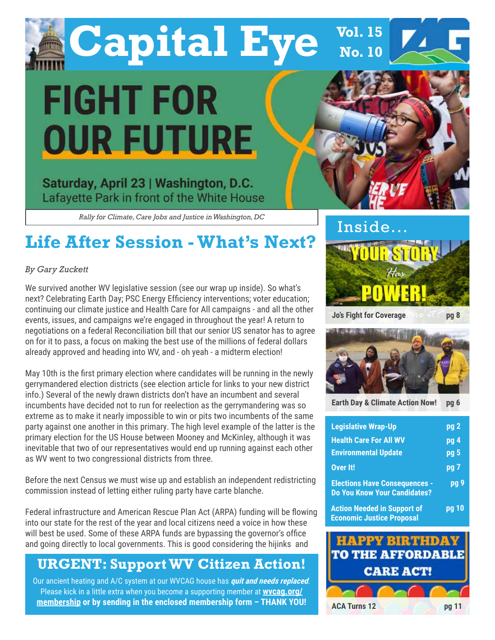

**Capital Eye FIGHT FOR OUR FUTURE** 

Saturday, April 23 | Washington, D.C. Lafayette Park in front of the White House

*Rally for Climate, Care Jobs and Justice in Washington, DC*

# **Life After Session - What's Next?**

### *By Gary Zuckett*

We survived another WV legislative session (see our wrap up inside). So what's next? Celebrating Earth Day; PSC Energy Efficiency interventions; voter education; continuing our climate justice and Health Care for All campaigns - and all the other events, issues, and campaigns we're engaged in throughout the year! A return to negotiations on a federal Reconciliation bill that our senior US senator has to agree on for it to pass, a focus on making the best use of the millions of federal dollars already approved and heading into WV, and - oh yeah - a midterm election!

May 10th is the first primary election where candidates will be running in the newly gerrymandered election districts (see election article for links to your new district info.) Several of the newly drawn districts don't have an incumbent and several incumbents have decided not to run for reelection as the gerrymandering was so extreme as to make it nearly impossible to win or pits two incumbents of the same party against one another in this primary. The high level example of the latter is the primary election for the US House between Mooney and McKinley, although it was inevitable that two of our representatives would end up running against each other as WV went to two congressional districts from three.

Before the next Census we must wise up and establish an independent redistricting commission instead of letting either ruling party have carte blanche.

Federal infrastructure and American Rescue Plan Act (ARPA) funding will be flowing into our state for the rest of the year and local citizens need a voice in how these will best be used. Some of these ARPA funds are bypassing the governor's office and going directly to local governments. This is good considering the hijinks and

### **URGENT: Support WV Citizen Action!**

Our ancient heating and A/C system at our WVCAG house has **quit and needs replaced**. Please kick in a little extra when you become a supporting member at **wvcag.org/ membership or by sending in the enclosed membership form – THANK YOU!**



**Jo's Fight for Coverage** 

**Vol. 15** 

**No. 10**

**pg 8**



**Earth Day & Climate Action Now! pg 6**

| <b>Legislative Wrap-Up</b>                                                  | pg <sub>2</sub>   |
|-----------------------------------------------------------------------------|-------------------|
| <b>Health Care For All WV</b>                                               | $pg$ <sup>4</sup> |
| <b>Environmental Update</b>                                                 | pg 5              |
| Over It!                                                                    | pg 7              |
| <b>Elections Have Consequences -</b><br><b>Do You Know Your Candidates?</b> | pg 9              |
| <b>Action Needed in Support of</b>                                          |                   |

**Economic Justice Proposal**

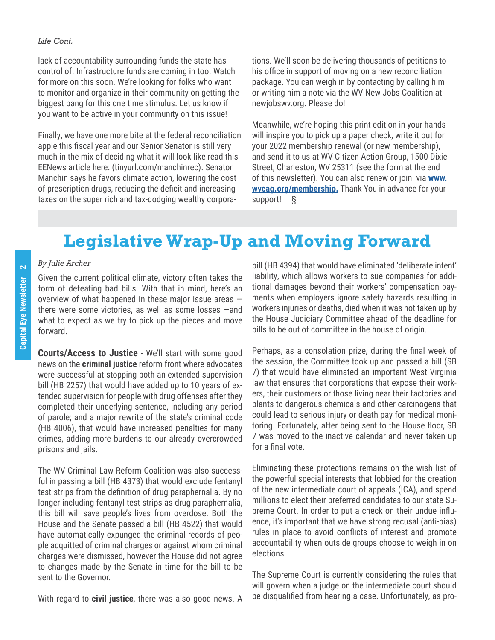### *Life Cont.*

lack of accountability surrounding funds the state has control of. Infrastructure funds are coming in too. Watch for more on this soon. We're looking for folks who want to monitor and organize in their community on getting the biggest bang for this one time stimulus. Let us know if you want to be active in your community on this issue!

Finally, we have one more bite at the federal reconciliation apple this fiscal year and our Senior Senator is still very much in the mix of deciding what it will look like read this EENews article here: (tinyurl.com/manchinrec). Senator Manchin says he favors climate action, lowering the cost of prescription drugs, reducing the deficit and increasing taxes on the super rich and tax-dodging wealthy corporations. We'll soon be delivering thousands of petitions to his office in support of moving on a new reconciliation package. You can weigh in by contacting by calling him or writing him a note via the WV New Jobs Coalition at newjobswv.org. Please do!

Meanwhile, we're hoping this print edition in your hands will inspire you to pick up a paper check, write it out for your 2022 membership renewal (or new membership), and send it to us at WV Citizen Action Group, 1500 Dixie Street, Charleston, WV 25311 (see the form at the end of this newsletter). You can also renew or join via **www. wvcag.org/membership.** Thank You in advance for your support! §

# **Legislative Wrap-Up and Moving Forward**

### *By Julie Archer*

Given the current political climate, victory often takes the form of defeating bad bills. With that in mind, here's an overview of what happened in these major issue areas there were some victories, as well as some losses —and what to expect as we try to pick up the pieces and move forward.

**Courts/Access to Justice** - We'll start with some good news on the **criminal justice** reform front where advocates were successful at stopping both an extended supervision bill (HB 2257) that would have added up to 10 years of extended supervision for people with drug offenses after they completed their underlying sentence, including any period of parole; and a major rewrite of the state's criminal code (HB 4006), that would have increased penalties for many crimes, adding more burdens to our already overcrowded prisons and jails.

The WV Criminal Law Reform Coalition was also successful in passing a bill (HB 4373) that would exclude fentanyl test strips from the definition of drug paraphernalia. By no longer including fentanyl test strips as drug paraphernalia, this bill will save people's lives from overdose. Both the House and the Senate passed a bill (HB 4522) that would have automatically expunged the criminal records of people acquitted of criminal charges or against whom criminal charges were dismissed, however the House did not agree to changes made by the Senate in time for the bill to be sent to the Governor.

With regard to **civil justice**, there was also good news. A

bill (HB 4394) that would have eliminated 'deliberate intent' liability, which allows workers to sue companies for additional damages beyond their workers' compensation payments when employers ignore safety hazards resulting in workers injuries or deaths, died when it was not taken up by the House Judiciary Committee ahead of the deadline for bills to be out of committee in the house of origin.

Perhaps, as a consolation prize, during the final week of the session, the Committee took up and passed a bill (SB 7) that would have eliminated an important West Virginia law that ensures that corporations that expose their workers, their customers or those living near their factories and plants to dangerous chemicals and other carcinogens that could lead to serious injury or death pay for medical monitoring. Fortunately, after being sent to the House floor, SB 7 was moved to the inactive calendar and never taken up for a final vote.

Eliminating these protections remains on the wish list of the powerful special interests that lobbied for the creation of the new intermediate court of appeals (ICA), and spend millions to elect their preferred candidates to our state Supreme Court. In order to put a check on their undue influence, it's important that we have strong recusal (anti-bias) rules in place to avoid conflicts of interest and promote accountability when outside groups choose to weigh in on elections.

The Supreme Court is currently considering the rules that will govern when a judge on the intermediate court should be disqualified from hearing a case. Unfortunately, as pro-

 $\overline{\mathbf{N}}$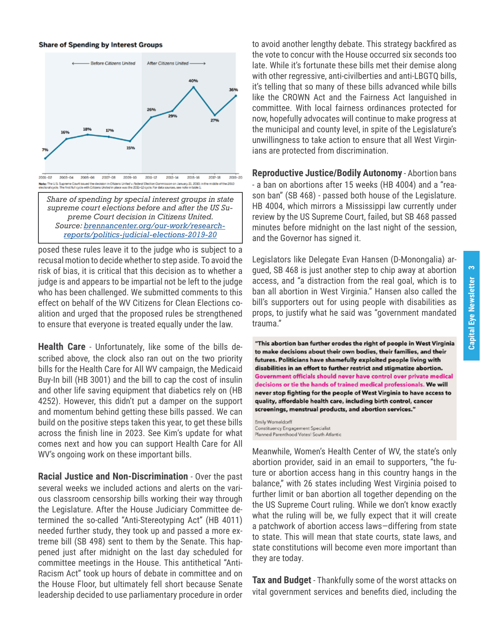#### **Share of Spending by Interest Groups**



*Share of spending by special interest groups in state supreme court elections before and after the US Supreme Court decision in Citizens United. Source: brennancenter.org/our-work/researchreports/politics-judicial-elections-2019-20*

posed these rules leave it to the judge who is subject to a recusal motion to decide whether to step aside. To avoid the risk of bias, it is critical that this decision as to whether a judge is and appears to be impartial not be left to the judge who has been challenged. We submitted comments to this effect on behalf of the WV Citizens for Clean Elections coalition and urged that the proposed rules be strengthened to ensure that everyone is treated equally under the law.

**Health Care** - Unfortunately, like some of the bills described above, the clock also ran out on the two priority bills for the Health Care for All WV campaign, the Medicaid Buy-In bill (HB 3001) and the bill to cap the cost of insulin and other life saving equipment that diabetics rely on (HB 4252). However, this didn't put a damper on the support and momentum behind getting these bills passed. We can build on the positive steps taken this year, to get these bills across the finish line in 2023. See Kim's update for what comes next and how you can support Health Care for All WV's ongoing work on these important bills.

**Racial Justice and Non-Discrimination** - Over the past several weeks we included actions and alerts on the various classroom censorship bills working their way through the Legislature. After the House Judiciary Committee determined the so-called "Anti-Stereotyping Act" (HB 4011) needed further study, they took up and passed a more extreme bill (SB 498) sent to them by the Senate. This happened just after midnight on the last day scheduled for committee meetings in the House. This antithetical "Anti-Racism Act" took up hours of debate in committee and on the House Floor, but ultimately fell short because Senate leadership decided to use parliamentary procedure in order

to avoid another lengthy debate. This strategy backfired as the vote to concur with the House occurred six seconds too late. While it's fortunate these bills met their demise along with other regressive, anti-civilberties and anti-LBGTQ bills, it's telling that so many of these bills advanced while bills like the CROWN Act and the Fairness Act languished in committee. With local fairness ordinances protected for now, hopefully advocates will continue to make progress at the municipal and county level, in spite of the Legislature's unwillingness to take action to ensure that all West Virginians are protected from discrimination.

**Reproductive Justice/Bodily Autonomy** - Abortion bans - a ban on abortions after 15 weeks (HB 4004) and a "reason ban" (SB 468) - passed both house of the Legislature. HB 4004, which mirrors a Mississippi law currently under review by the US Supreme Court, failed, but SB 468 passed minutes before midnight on the last night of the session, and the Governor has signed it.

Legislators like Delegate Evan Hansen (D-Monongalia) argued, SB 468 is just another step to chip away at abortion access, and "a distraction from the real goal, which is to ban all abortion in West Virginia." Hansen also called the bill's supporters out for using people with disabilities as props, to justify what he said was "government mandated trauma."

"This abortion ban further erodes the right of people in West Virginia to make decisions about their own bodies, their families, and their futures. Politicians have shamefully exploited people living with disabilities in an effort to further restrict and stigmatize abortion. Government officials should never have control over private medical decisions or tie the hands of trained medical professionals. We will never stop fighting for the people of West Virginia to have access to quality, affordable health care, including birth control, cancer screenings, menstrual products, and abortion services."

Emily Womeldorff Constituency Engagement Specialist Planned Parenthood Votes! South Atlantic

Meanwhile, Women's Health Center of WV, the state's only abortion provider, said in an email to supporters, "the future or abortion access hang in this country hangs in the balance," with 26 states including West Virginia poised to further limit or ban abortion all together depending on the the US Supreme Court ruling. While we don't know exactly what the ruling will be, we fully expect that it will create a patchwork of abortion access laws—differing from state to state. This will mean that state courts, state laws, and state constitutions will become even more important than they are today.

**Tax and Budget** - Thankfully some of the worst attacks on vital government services and benefits died, including the

 $\infty$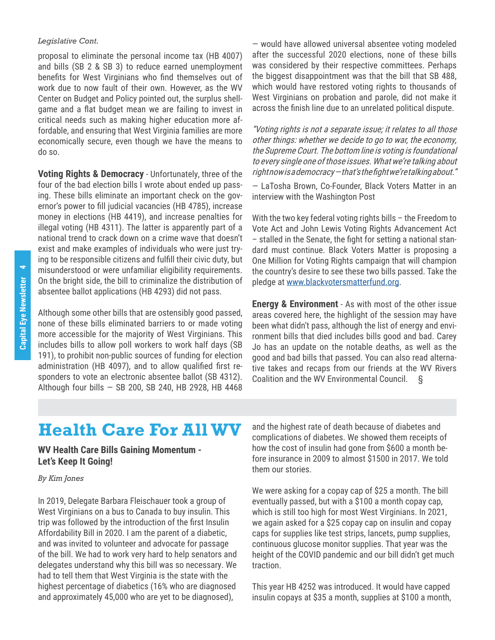### *Legislative Cont.*

proposal to eliminate the personal income tax (HB 4007) and bills (SB 2 & SB 3) to reduce earned unemployment benefits for West Virginians who find themselves out of work due to now fault of their own. However, as the WV Center on Budget and Policy pointed out, the surplus shellgame and a flat budget mean we are failing to invest in critical needs such as making higher education more affordable, and ensuring that West Virginia families are more economically secure, even though we have the means to do so.

**Voting Rights & Democracy** - Unfortunately, three of the four of the bad election bills I wrote about ended up passing. These bills eliminate an important check on the governor's power to fill judicial vacancies (HB 4785), increase money in elections (HB 4419), and increase penalties for illegal voting (HB 4311). The latter is apparently part of a national trend to crack down on a crime wave that doesn't exist and make examples of individuals who were just trying to be responsible citizens and fulfill their civic duty, but misunderstood or were unfamiliar eligibility requirements. On the bright side, the bill to criminalize the distribution of absentee ballot applications (HB 4293) did not pass.

Although some other bills that are ostensibly good passed, none of these bills eliminated barriers to or made voting more accessible for the majority of West Virginians. This includes bills to allow poll workers to work half days (SB 191), to prohibit non-public sources of funding for election administration (HB 4097), and to allow qualified first responders to vote an electronic absentee ballot (SB 4312). Although four bills — SB 200, SB 240, HB 2928, HB 4468

— would have allowed universal absentee voting modeled after the successful 2020 elections, none of these bills was considered by their respective committees. Perhaps the biggest disappointment was that the bill that SB 488, which would have restored voting rights to thousands of West Virginians on probation and parole, did not make it across the finish line due to an unrelated political dispute.

"Voting rights is not a separate issue; it relates to all those other things: whether we decide to go to war, the economy, the Supreme Court. The bottom line is voting is foundational to every single one of those issues. What we're talking about right now is a democracy — that's the fight we're talking about."

— LaTosha Brown, Co-Founder, Black Voters Matter in an interview with the Washington Post

With the two key federal voting rights bills - the Freedom to Vote Act and John Lewis Voting Rights Advancement Act – stalled in the Senate, the fight for setting a national standard must continue. Black Voters Matter is proposing a One Million for Voting Rights campaign that will champion the country's desire to see these two bills passed. Take the pledge at www.blackvotersmatterfund.org.

**Energy & Environment** - As with most of the other issue areas covered here, the highlight of the session may have been what didn't pass, although the list of energy and environment bills that died includes bills good and bad. Carey Jo has an update on the notable deaths, as well as the good and bad bills that passed. You can also read alternative takes and recaps from our friends at the WV Rivers Coalition and the WV Environmental Council. §

# **Health Care For All WV**

### **WV Health Care Bills Gaining Momentum - Let's Keep It Going!**

### *By Kim Jones*

In 2019, Delegate Barbara Fleischauer took a group of West Virginians on a bus to Canada to buy insulin. This trip was followed by the introduction of the first Insulin Affordability Bill in 2020. I am the parent of a diabetic, and was invited to volunteer and advocate for passage of the bill. We had to work very hard to help senators and delegates understand why this bill was so necessary. We had to tell them that West Virginia is the state with the highest percentage of diabetics (16% who are diagnosed and approximately 45,000 who are yet to be diagnosed),

and the highest rate of death because of diabetes and complications of diabetes. We showed them receipts of how the cost of insulin had gone from \$600 a month before insurance in 2009 to almost \$1500 in 2017. We told them our stories.

We were asking for a copay cap of \$25 a month. The bill eventually passed, but with a \$100 a month copay cap, which is still too high for most West Virginians. In 2021, we again asked for a \$25 copay cap on insulin and copay caps for supplies like test strips, lancets, pump supplies, continuous glucose monitor supplies. That year was the height of the COVID pandemic and our bill didn't get much traction.

This year HB 4252 was introduced. It would have capped insulin copays at \$35 a month, supplies at \$100 a month,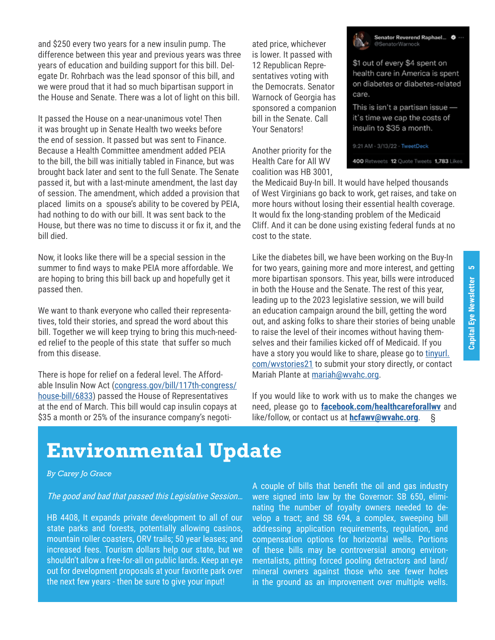and \$250 every two years for a new insulin pump. The difference between this year and previous years was three years of education and building support for this bill. Delegate Dr. Rohrbach was the lead sponsor of this bill, and we were proud that it had so much bipartisan support in the House and Senate. There was a lot of light on this bill.

It passed the House on a near-unanimous vote! Then it was brought up in Senate Health two weeks before the end of session. It passed but was sent to Finance. Because a Health Committee amendment added PEIA to the bill, the bill was initially tabled in Finance, but was brought back later and sent to the full Senate. The Senate passed it, but with a last-minute amendment, the last day of session. The amendment, which added a provision that placed limits on a spouse's ability to be covered by PEIA, had nothing to do with our bill. It was sent back to the House, but there was no time to discuss it or fix it, and the bill died.

Now, it looks like there will be a special session in the summer to find ways to make PEIA more affordable. We are hoping to bring this bill back up and hopefully get it passed then.

We want to thank everyone who called their representatives, told their stories, and spread the word about this bill. Together we will keep trying to bring this much-needed relief to the people of this state that suffer so much from this disease.

There is hope for relief on a federal level. The Affordable Insulin Now Act (congress.gov/bill/117th-congress/ house-bill/6833) passed the House of Representatives at the end of March. This bill would cap insulin copays at \$35 a month or 25% of the insurance company's negotiated price, whichever is lower. It passed with 12 Republican Representatives voting with the Democrats. Senator Warnock of Georgia has sponsored a companion bill in the Senate. Call Your Senators!

Another priority for the Health Care for All WV coalition was HB 3001,

the Medicaid Buy-In bill. It would have helped thousands of West Virginians go back to work, get raises, and take on more hours without losing their essential health coverage. It would fix the long-standing problem of the Medicaid Cliff. And it can be done using existing federal funds at no cost to the state.

Like the diabetes bill, we have been working on the Buy-In for two years, gaining more and more interest, and getting more bipartisan sponsors. This year, bills were introduced in both the House and the Senate. The rest of this year, leading up to the 2023 legislative session, we will build an education campaign around the bill, getting the word out, and asking folks to share their stories of being unable to raise the level of their incomes without having themselves and their families kicked off of Medicaid. If you have a story you would like to share, please go to tinyurl. com/wvstories21 to submit your story directly, or contact Mariah Plante at mariah@wvahc.org.

If you would like to work with us to make the changes we need, please go to **facebook.com/healthcareforallwv** and like/follow, or contact us at **hcfawv@wvahc.org**. §

# **Environmental Update**

### *By Carey Jo Grace*

### The good and bad that passed this Legislative Session…

HB 4408, It expands private development to all of our state parks and forests, potentially allowing casinos, mountain roller coasters, ORV trails; 50 year leases; and increased fees. Tourism dollars help our state, but we shouldn't allow a free-for-all on public lands. Keep an eye out for development proposals at your favorite park over the next few years - then be sure to give your input!

A couple of bills that benefit the oil and gas industry were signed into law by the Governor: SB 650, eliminating the number of royalty owners needed to develop a tract; and SB 694, a complex, sweeping bill addressing application requirements, regulation, and compensation options for horizontal wells. Portions of these bills may be controversial among environmentalists, pitting forced pooling detractors and land/ mineral owners against those who see fewer holes in the ground as an improvement over multiple wells.

Senator Reverend Raphael...  $\bullet$ @SenatorWarnock

\$1 out of every \$4 spent on health care in America is spent on diabetes or diabetes-related care.

This is isn't a partisan issue it's time we cap the costs of insulin to \$35 a month.

9:21 AM - 3/13/22 - TweetDeck

400 Retweets 12 Quote Tweets 1,783 Likes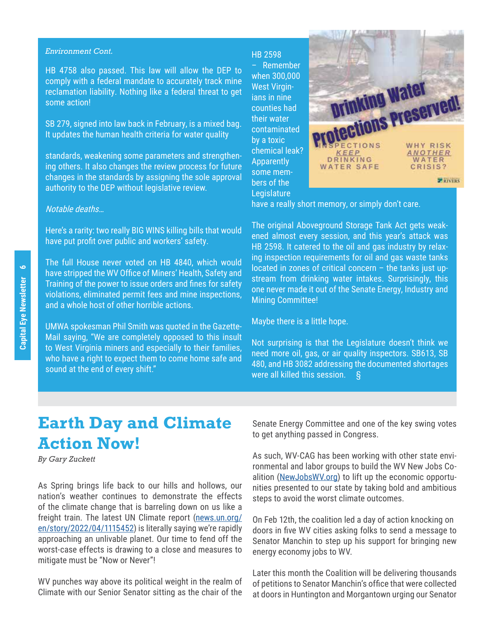#### *Environment Cont.*

HB 4758 also passed. This law will allow the DEP to comply with a federal mandate to accurately track mine reclamation liability. Nothing like a federal threat to get some action!

SB 279, signed into law back in February, is a mixed bag. It updates the human health criteria for water quality

standards, weakening some parameters and strengthening others. It also changes the review process for future changes in the standards by assigning the sole approval authority to the DEP without legislative review.

### Notable deaths…

Here's a rarity: two really BIG WINS killing bills that would have put profit over public and workers' safety.

The full House never voted on HB 4840, which would have stripped the WV Office of Miners' Health, Safety and Training of the power to issue orders and fines for safety violations, eliminated permit fees and mine inspections, and a whole host of other horrible actions.

UMWA spokesman Phil Smith was quoted in the Gazette-Mail saying, "We are completely opposed to this insult to West Virginia miners and especially to their families, who have a right to expect them to come home safe and sound at the end of every shift."

HB 2598

– Remember when 300,000 West Virginians in nine counties had their water contaminated by a toxic chemical leak? **Apparently** some members of the **Legislature** 



have a really short memory, or simply don't care.

The original Aboveground Storage Tank Act gets weakened almost every session, and this year's attack was HB 2598. It catered to the oil and gas industry by relaxing inspection requirements for oil and gas waste tanks located in zones of critical concern – the tanks just upstream from drinking water intakes. Surprisingly, this one never made it out of the Senate Energy, Industry and Mining Committee!

Maybe there is a little hope.

Not surprising is that the Legislature doesn't think we need more oil, gas, or air quality inspectors. SB613, SB 480, and HB 3082 addressing the documented shortages were all killed this session. §

# **Earth Day and Climate Action Now!**

*By Gary Zuckett*

As Spring brings life back to our hills and hollows, our nation's weather continues to demonstrate the effects of the climate change that is barreling down on us like a freight train. The latest UN Climate report (news.un.org/ en/story/2022/04/1115452) is literally saying we're rapidly approaching an unlivable planet. Our time to fend off the worst-case effects is drawing to a close and measures to mitigate must be "Now or Never"!

WV punches way above its political weight in the realm of Climate with our Senior Senator sitting as the chair of the Senate Energy Committee and one of the key swing votes to get anything passed in Congress.

As such, WV-CAG has been working with other state environmental and labor groups to build the WV New Jobs Coalition (NewJobsWV.org) to lift up the economic opportunities presented to our state by taking bold and ambitious steps to avoid the worst climate outcomes.

On Feb 12th, the coalition led a day of action knocking on doors in five WV cities asking folks to send a message to Senator Manchin to step up his support for bringing new energy economy jobs to WV.

Later this month the Coalition will be delivering thousands of petitions to Senator Manchin's office that were collected at doors in Huntington and Morgantown urging our Senator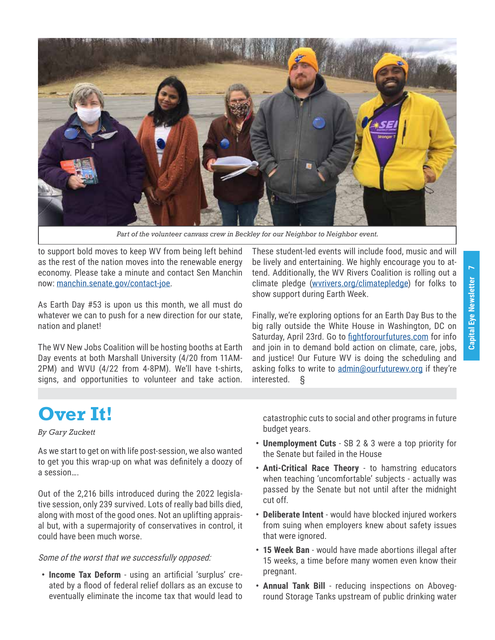

*Part of the volunteer canvass crew in Beckley for our Neighbor to Neighbor event.*

to support bold moves to keep WV from being left behind as the rest of the nation moves into the renewable energy economy. Please take a minute and contact Sen Manchin now: manchin.senate.gov/contact-joe.

As Earth Day #53 is upon us this month, we all must do whatever we can to push for a new direction for our state, nation and planet!

The WV New Jobs Coalition will be hosting booths at Earth Day events at both Marshall University (4/20 from 11AM-2PM) and WVU (4/22 from 4-8PM). We'll have t-shirts, signs, and opportunities to volunteer and take action.

These student-led events will include food, music and will be lively and entertaining. We highly encourage you to attend. Additionally, the WV Rivers Coalition is rolling out a climate pledge (wvrivers.org/climatepledge) for folks to show support during Earth Week.

Finally, we're exploring options for an Earth Day Bus to the big rally outside the White House in Washington, DC on Saturday, April 23rd. Go to fightforourfutures.com for info and join in to demand bold action on climate, care, jobs, and justice! Our Future WV is doing the scheduling and asking folks to write to admin@ourfuturewy.org if they're interested. §

# **Over It!**

### *By Gary Zuckett*

As we start to get on with life post-session, we also wanted to get you this wrap-up on what was definitely a doozy of a session….

Out of the 2,216 bills introduced during the 2022 legislative session, only 239 survived. Lots of really bad bills died, along with most of the good ones. Not an uplifting appraisal but, with a supermajority of conservatives in control, it could have been much worse.

### Some of the worst that we successfully opposed:

**• Income Tax Deform** - using an artificial 'surplus' created by a flood of federal relief dollars as an excuse to eventually eliminate the income tax that would lead to catastrophic cuts to social and other programs in future budget years.

- **• Unemployment Cuts** SB 2 & 3 were a top priority for the Senate but failed in the House
- **• Anti-Critical Race Theory** to hamstring educators when teaching 'uncomfortable' subjects - actually was passed by the Senate but not until after the midnight cut off.
- **• Deliberate Intent** would have blocked injured workers from suing when employers knew about safety issues that were ignored.
- **• 15 Week Ban** would have made abortions illegal after 15 weeks, a time before many women even know their pregnant.
- **• Annual Tank Bill** reducing inspections on Aboveground Storage Tanks upstream of public drinking water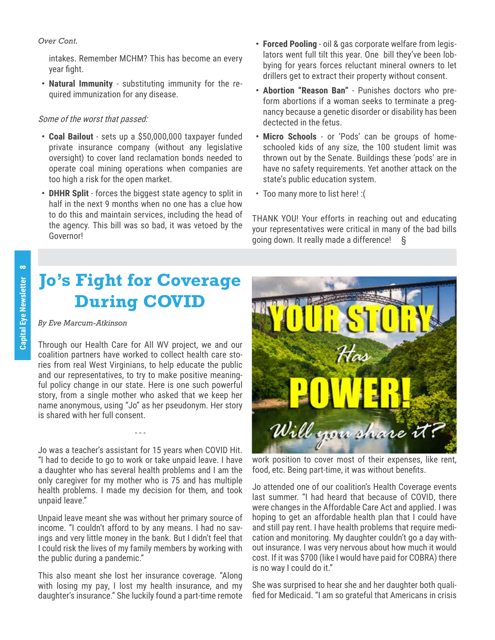### *Over Cont.*

intakes. Remember MCHM? This has become an every year fight.

**• Natural Immunity** - substituting immunity for the required immunization for any disease.

### Some of the worst that passed:

- **• Coal Bailout** sets up a \$50,000,000 taxpayer funded private insurance company (without any legislative oversight) to cover land reclamation bonds needed to operate coal mining operations when companies are too high a risk for the open market.
- **• DHHR Split** forces the biggest state agency to split in half in the next 9 months when no one has a clue how to do this and maintain services, including the head of the agency. This bill was so bad, it was vetoed by the Governor!
- **• Forced Pooling** oil & gas corporate welfare from legislators went full tilt this year. One bill they've been lobbying for years forces reluctant mineral owners to let drillers get to extract their property without consent.
- **• Abortion "Reason Ban"** Punishes doctors who preform abortions if a woman seeks to terminate a pregnancy because a genetic disorder or disability has been dectected in the fetus.
- **• Micro Schools** or 'Pods' can be groups of homeschooled kids of any size, the 100 student limit was thrown out by the Senate. Buildings these 'pods' are in have no safety requirements. Yet another attack on the state's public education system.
- Too many more to list here! :(

THANK YOU! Your efforts in reaching out and educating your representatives were critical in many of the bad bills going down. It really made a difference! §

# **Jo's Fight for Coverage During COVID**

### *By Eve Marcum-Atkinson*

Through our Health Care for All WV project, we and our coalition partners have worked to collect health care stories from real West Virginians, to help educate the public and our representatives, to try to make positive meaningful policy change in our state. Here is one such powerful story, from a single mother who asked that we keep her name anonymous, using "Jo" as her pseudonym. Her story is shared with her full consent.

Jo was a teacher's assistant for 15 years when COVID Hit. "I had to decide to go to work or take unpaid leave. I have a daughter who has several health problems and I am the only caregiver for my mother who is 75 and has multiple health problems. I made my decision for them, and took unpaid leave."

- - -

Unpaid leave meant she was without her primary source of income. "I couldn't afford to by any means. I had no savings and very little money in the bank. But I didn't feel that I could risk the lives of my family members by working with the public during a pandemic."

This also meant she lost her insurance coverage. "Along with losing my pay, I lost my health insurance, and my daughter's insurance." She luckily found a part-time remote



work position to cover most of their expenses, like rent, food, etc. Being part-time, it was without benefits.

Jo attended one of our coalition's Health Coverage events last summer. "I had heard that because of COVID, there were changes in the Affordable Care Act and applied. I was hoping to get an affordable health plan that I could have and still pay rent. I have health problems that require medication and monitoring. My daughter couldn't go a day without insurance. I was very nervous about how much it would cost. If it was \$700 (like I would have paid for COBRA) there is no way I could do it."

She was surprised to hear she and her daughter both qualified for Medicaid. "I am so grateful that Americans in crisis

 $\infty$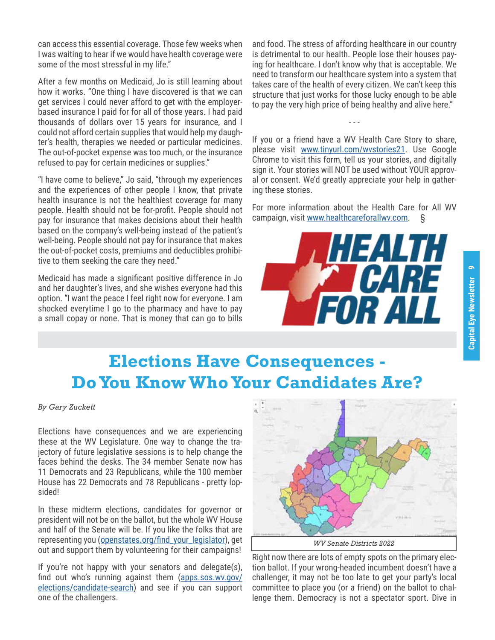can access this essential coverage. Those few weeks when I was waiting to hear if we would have health coverage were some of the most stressful in my life."

After a few months on Medicaid, Jo is still learning about how it works. "One thing I have discovered is that we can get services I could never afford to get with the employerbased insurance I paid for for all of those years. I had paid thousands of dollars over 15 years for insurance, and I could not afford certain supplies that would help my daughter's health, therapies we needed or particular medicines. The out-of-pocket expense was too much, or the insurance refused to pay for certain medicines or supplies."

"I have come to believe," Jo said, "through my experiences and the experiences of other people I know, that private health insurance is not the healthiest coverage for many people. Health should not be for-profit. People should not pay for insurance that makes decisions about their health based on the company's well-being instead of the patient's well-being. People should not pay for insurance that makes the out-of-pocket costs, premiums and deductibles prohibitive to them seeking the care they need."

Medicaid has made a significant positive difference in Jo and her daughter's lives, and she wishes everyone had this option. "I want the peace I feel right now for everyone. I am shocked everytime I go to the pharmacy and have to pay a small copay or none. That is money that can go to bills

and food. The stress of affording healthcare in our country is detrimental to our health. People lose their houses paying for healthcare. I don't know why that is acceptable. We need to transform our healthcare system into a system that takes care of the health of every citizen. We can't keep this structure that just works for those lucky enough to be able to pay the very high price of being healthy and alive here."

If you or a friend have a WV Health Care Story to share, please visit www.tinyurl.com/wvstories21. Use Google Chrome to visit this form, tell us your stories, and digitally sign it. Your stories will NOT be used without YOUR approval or consent. We'd greatly appreciate your help in gathering these stories.

- - -

For more information about the Health Care for All WV campaign, visit www.healthcareforallwv.com. §



# **Elections Have Consequences - Do You Know Who Your Candidates Are?**

*By Gary Zuckett*

Elections have consequences and we are experiencing these at the WV Legislature. One way to change the trajectory of future legislative sessions is to help change the faces behind the desks. The 34 member Senate now has 11 Democrats and 23 Republicans, while the 100 member House has 22 Democrats and 78 Republicans - pretty lopsided!

In these midterm elections, candidates for governor or president will not be on the ballot, but the whole WV House and half of the Senate will be. If you like the folks that are representing you (openstates.org/find\_your\_legislator), get out and support them by volunteering for their campaigns!

If you're not happy with your senators and delegate(s), find out who's running against them (apps.sos.wv.gov/ elections/candidate-search) and see if you can support one of the challengers.



Right now there are lots of empty spots on the primary election ballot. If your wrong-headed incumbent doesn't have a challenger, it may not be too late to get your party's local committee to place you (or a friend) on the ballot to challenge them. Democracy is not a spectator sport. Dive in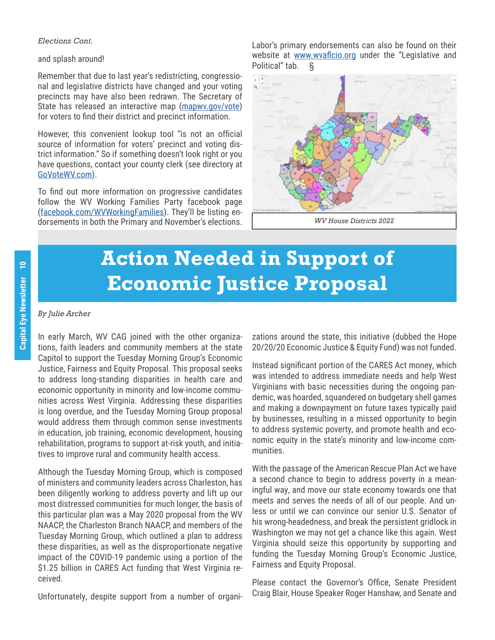### *Elections Cont.*

and splash around!

Remember that due to last year's redistricting, congressional and legislative districts have changed and your voting precincts may have also been redrawn. The Secretary of State has released an interactive map (mapwy.gov/vote) for voters to find their district and precinct information.

However, this convenient lookup tool "is not an official source of information for voters' precinct and voting district information." So if something doesn't look right or you have questions, contact your county clerk (see directory at GoVoteWV.com).

To find out more information on progressive candidates follow the WV Working Families Party facebook page (facebook.com/WVWorkingFamilies). They'll be listing endorsements in both the Primary and November's elections.

Labor's primary endorsements can also be found on their website at www.wvaflcio.org under the "Legislative and Political" tab. §



# **Action Needed in Support of Economic Justice Proposal**

### *By Julie Archer*

In early March, WV CAG joined with the other organizations, faith leaders and community members at the state Capitol to support the Tuesday Morning Group's Economic Justice, Fairness and Equity Proposal. This proposal seeks to address long-standing disparities in health care and economic opportunity in minority and low-income communities across West Virginia. Addressing these disparities is long overdue, and the Tuesday Morning Group proposal would address them through common sense investments in education, job training, economic development, housing rehabilitation, programs to support at-risk youth, and initiatives to improve rural and community health access.

Although the Tuesday Morning Group, which is composed of ministers and community leaders across Charleston, has been diligently working to address poverty and lift up our most distressed communities for much longer, the basis of this particular plan was a May 2020 proposal from the WV NAACP, the Charleston Branch NAACP, and members of the Tuesday Morning Group, which outlined a plan to address these disparities, as well as the disproportionate negative impact of the COVID-19 pandemic using a portion of the \$1.25 billion in CARES Act funding that West Virginia received.

Unfortunately, despite support from a number of organi-

zations around the state, this initiative (dubbed the Hope 20/20/20 Economic Justice & Equity Fund) was not funded.

Instead significant portion of the CARES Act money, which was intended to address immediate needs and help West Virginians with basic necessities during the ongoing pandemic, was hoarded, squandered on budgetary shell games and making a downpayment on future taxes typically paid by businesses, resulting in a missed opportunity to begin to address systemic poverty, and promote health and economic equity in the state's minority and low-income communities.

With the passage of the American Rescue Plan Act we have a second chance to begin to address poverty in a meaningful way, and move our state economy towards one that meets and serves the needs of all of our people. And unless or until we can convince our senior U.S. Senator of his wrong-headedness, and break the persistent gridlock in Washington we may not get a chance like this again. West Virginia should seize this opportunity by supporting and funding the Tuesday Morning Group's Economic Justice, Fairness and Equity Proposal.

Please contact the Governor's Office, Senate President Craig Blair, House Speaker Roger Hanshaw, and Senate and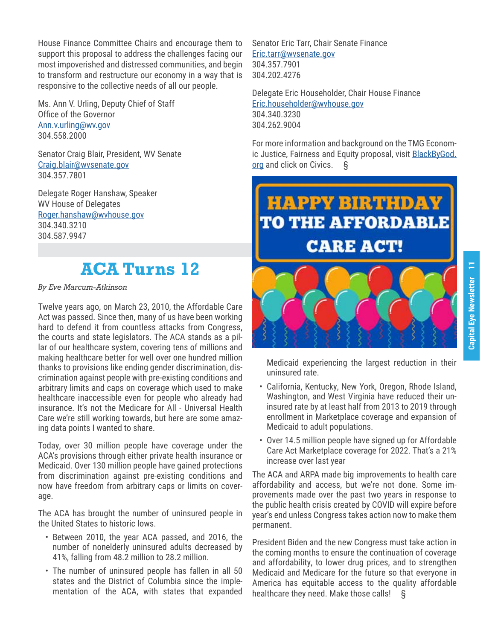House Finance Committee Chairs and encourage them to support this proposal to address the challenges facing our most impoverished and distressed communities, and begin to transform and restructure our economy in a way that is responsive to the collective needs of all our people.

Ms. Ann V. Urling, Deputy Chief of Staff Office of the Governor Ann.v.urling@wv.gov 304.558.2000

Senator Craig Blair, President, WV Senate Craig.blair@wvsenate.gov 304.357.7801

Delegate Roger Hanshaw, Speaker WV House of Delegates Roger.hanshaw@wvhouse.gov 304.340.3210 304.587.9947

### **ACA Turns 12**

*By Eve Marcum-Atkinson*

Twelve years ago, on March 23, 2010, the Affordable Care Act was passed. Since then, many of us have been working hard to defend it from countless attacks from Congress, the courts and state legislators. The ACA stands as a pillar of our healthcare system, covering tens of millions and making healthcare better for well over one hundred million thanks to provisions like ending gender discrimination, discrimination against people with pre-existing conditions and arbitrary limits and caps on coverage which used to make healthcare inaccessible even for people who already had insurance. It's not the Medicare for All - Universal Health Care we're still working towards, but here are some amazing data points I wanted to share.

Today, over 30 million people have coverage under the ACA's provisions through either private health insurance or Medicaid. Over 130 million people have gained protections from discrimination against pre-existing conditions and now have freedom from arbitrary caps or limits on coverage.

The ACA has brought the number of uninsured people in the United States to historic lows.

- Between 2010, the year ACA passed, and 2016, the number of nonelderly uninsured adults decreased by 41%, falling from 48.2 million to 28.2 million.
- The number of uninsured people has fallen in all 50 states and the District of Columbia since the implementation of the ACA, with states that expanded

Senator Eric Tarr, Chair Senate Finance Eric.tarr@wvsenate.gov 304.357.7901 304.202.4276

Delegate Eric Householder, Chair House Finance Eric.householder@wvhouse.gov 304.340.3230 304.262.9004

For more information and background on the TMG Economic Justice, Fairness and Equity proposal, visit BlackByGod. org and click on Civics. §

# **HAPPY BIRTHDAY TO THE AFFORDABLE CARE ACT!**



Medicaid experiencing the largest reduction in their uninsured rate.

- California, Kentucky, New York, Oregon, Rhode Island, Washington, and West Virginia have reduced their uninsured rate by at least half from 2013 to 2019 through enrollment in Marketplace coverage and expansion of Medicaid to adult populations.
- Over 14.5 million people have signed up for Affordable Care Act Marketplace coverage for 2022. That's a 21% increase over last year

The ACA and ARPA made big improvements to health care affordability and access, but we're not done. Some improvements made over the past two years in response to the public health crisis created by COVID will expire before year's end unless Congress takes action now to make them permanent.

President Biden and the new Congress must take action in the coming months to ensure the continuation of coverage and affordability, to lower drug prices, and to strengthen Medicaid and Medicare for the future so that everyone in America has equitable access to the quality affordable healthcare they need. Make those calls! §